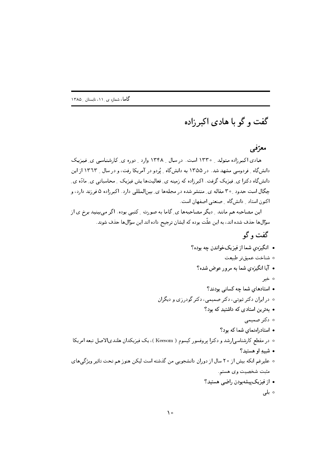## گفت و گو با هادی اکبرزاده

## معرّفي

هادی اکبر زاده متولد و ۱۳۳۰ است. در سال و ۱۳۴۸ وارد و دوره ی کارشناسی ی فیزیک دانش گاه \_ فردوسی مشهد شد. در ۱۳۵۵ به دانش گاه \_ یُردو در آمریکا رفت، و در سال \_ ۱۳٦۳ از این دانش گاه دکترا ی ِ فیزیک گرفت. اکبرزاده که زمینه ی ِ فعالیتها پش فیزیک ِ ِ محاسباتی ی ِ مادّه ی ِ چگال است حدود ۳۰ مقاله ی ِ منتشر شده در مجلهها ی ِ بینالمللی دارد. اکبر زاده ۵ فرزند دارد، و اکنون استاد ِ دانش گاه ِ صنعتی اصفهان است.

این مصاحبه هم مانند -ِ دیگر مصاحبهها ی ِ گاما به صورت -ِ کتبی بوده. اگر می بینید برخ ی از سؤالها حذف شده اند، به این علّت بوده که ایشان ترجیح داده اند این سؤالها حذف شوند.

## گفت و گو

- انگیزهی شما از فیزیکخواندن چه بوده؟
	- ە شناخت عميقتر طبيعت
	- آیا انگیزهی شما به مرور عوض شده؟
		- ہ خیر
	- استادهای شما چه کسانی بودند؟
- ∘ در ايران دکتر ثبوتى، دکتر صميمى، دکتر گودر زى و ديگران
	- بهترین استادی که داشتید که بود؟
		- ە دكتر صميمى
		- استادراهنمای شما که بود؟
- ∘ در مقطع کارشناسی|رشد و دکترا پروفسور کیسوم ( Keesom )، یک فیزیکدان هلندیالاصل تبعه امریکا
	- شبيهِ او هستيد؟
- ۰ علیرغم انکه بیش از ۲۰ سال از دوران دانشجویی من گذشته است لیکن هنوزهم تحت تاثیر ویژگیهای مثبت شخصيت وي هستم. • از فیزیک پیشهبودن راضبی هستید؟
	- ہ بلی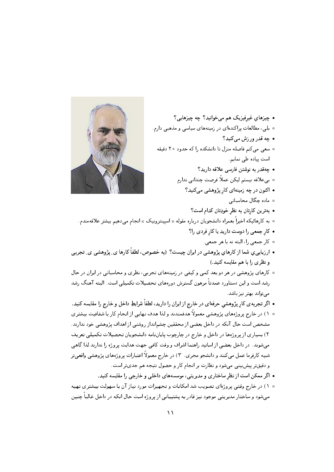

• چیزهای غیرفیزیک هم می خوانید؟ چه چیزهایی؟ ∘ بلی، مطالعات پراکندهای در زمینههای سیاسی و مذهبی دارم. • چه قدر ورزش مے کنید؟ ۰ سعی میکنم فاصله منزل تا دانشکده را که حدود ۲۰ دقیقه است پیاده طی نمایم. • چەقدر بە نوشتن فارسى علاقە دارىد؟ ○ بىءلاقه نيستم ليكن عملاً فرصت چندانى ندارم • اکنون در چه زمینهای کار پژوهشی میکنید؟ ە مادە چگال محاسباتى • بهترین کارتان به نظر خودِتان کدام است؟ ۰ به کارهائیکه اخیراً بهمراه دانشجویان درباره مقوله « اسپینترونیک » انجام میدهیم بیشتر علاقهمندم. • کار جمعی را دوست دارید یا کار فردی را؟ ∘ کار جمعی را، البته نه با هر جمعی. • ارزیابی، شما از کارهای پژوهشی در ایران چیست؟ (به خصوص، لطفاً کارها ی ِ پژوهشی ی ِ تجربی و نظری را با هم مقایسه کنید.) ۰ کارهای پژوهشی در هر دو بعد کمی و کیفی در زمینههای تجربی، نظری و محاسباتی در ایران در حال رشد است و این دستاورد عمدتاً مرهون گسترش دورههای تحصیلات تکمیلی است. البته آهنگ رشد مے تواند بھتر نیز باشد. • اگر تجربه<code>ی کار</code> پژوهشی حرفهای در خارج از ایران را دارید، لطفاً شرایطِ داخل و خارج را مقایسه کنید. ۰ ۱) در خارج پروژههای پژوهشی معمولاً هدفمندند و لذا هدف نهایی از انجام کار با شفافیت بیشتری مشخص است حال آنکه در داخل بعضی از محققین چشمانداز روشنی از اهداف پژوهشی خود ندارند.

۲) بسیاری از پروژهها در داخل و خارج در چارچوب پایاننامه دانشجویان تحصیلات تکمیلی تعریف می شوند. در داخل بعضی از اساتید راهنما اشراف و وقت کافی جهت هدایت پروژه را ندارند لذا گاهی شبیه کارفرما عمل میکنند و دانشجو مجری. ۳) در خارج معمولاً اعتبارات پروژههای پژوهشی واقعی تر و دقیقتر پیشبینی می شود و نظارت بر انجام کار و حصول نتیجه هم جدیتر است.

- اگر ممکن است از نظر ساختاری و مدیریتی، موسسههای داخلبی و خارجی را مقایسه کنید.
- ۰ ۱) در خارج وقتبي پروژهاي تصويب شد امكانات و تجهيزات مورد نياز آن با سهولت بيشتري تهيه میشود و ساختار مدیریتی موجود نیز قادر به پشتیبانی از پروژه است حال انکه در داخل غالباً چنین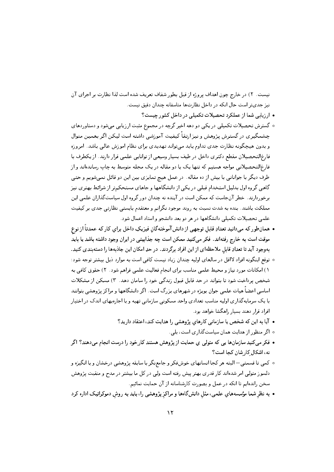نیست. ۲) در خارج چون اهداف پروژه از قبل بطور شفاف تعریف شده است لذا نظارت بر اجرای آن نیز جدیتر است حال انکه در داخل نظارتها متاسفانه چندان دقیق نیست.

- ارزیابی شما از عملکرد تحصیلات تکمیلی در داخل کشور چیست؟
- ه گسترش تحصیلات تکمیلی در یکی دو دهه اخیر گرچه در مجموع مثبت ارزیابی میشود و دستاوردهای چشمگیری در گسترش پژوهش و نیز ارتقاً کیفیت آموزشی داشته است لیکن اگر بهمین منوال و بدون هیچگونه نظارت جدی تداوم پابد میتواند تهدیدی برای نظام اموزش عالی باشد. امروزه فارغ|لتحصیلان مقطع دکتری داخل در طیف بسیار وسیعی از توانایی علمی قرار دارند. از یکطرف با فارغ|لتحصیلانی مواجه هستیم که تنها یک یا دو مقاله در یک مجله متوسط به چاپ رساندهاند و از طرف دیگر با جوانانی با بیش از ده مقاله . در عمل هیچ تمایزی بین این دو قائل نمیشویم و حتی گاهی گروه اول بدلیل استخدام قبلی در یکی از دانشگاهها و جاهای مستحکمتر از شرائط بهتری نیز برخوردارند. خطر آنجاست که ممکن است در آینده نه چندان دور گروه اول سیاستگذاران علمی این مملکت باشند. بنده به شدت نسبت به روند موجود نگرانم و معتقدم بایستی نظارتی جدی بر کیفیت علمی تحصیلات تکمیلی دانشگاهها در هر دو بعد دانشجو و استاد اعمال شود .
- همانطور كه مىدانيد تعدادِ قابل توجهي از دانش آموختهگانِ فيزيكِ داخل براي كار كه عمدتاً از نوع موقت است به خارج رفتهاند. فكر مى كنيد ممكن است چه جذابيتى در ايران وجود داشته باشد يا بايد بهوجود آيد تا تعدادِ قابل ملاحظهاي از اين افراد برگردند. در حدِ امكان اين جاذبهها را دستهبندي كنيد.
- توقع اینگونه افراد لااقل در سالهای اولیه چندان زیاد نیست کافی است به موارد ذیل بیشتر توجه شود: ١) امکانات مورد نیاز و محیط علمی مناسب برای انجام فعالیت علمی فراهم شود. ٢) حقوق کافی به شخص پرداخت شود تا بتواند در حد قابل قبول زندگی خود را سامان دهد. ۳) مسکن از مشکلات اساسی اعضاً هیات علمی جوان بویژه در شهرهای بزرگ است. اگر دانشگاهها و مراکز پژوهشی بتوانند با یک سرمایه گذاری اولیه مناسب تعدادی واحد مسکونی سازمانی تهیه و با اجارهبهای اندک در اختیار افراد قرار دهند بسیار راهگشا خواهد بود.
	- آیا به این که شخص یا سازمانی کارهای پژوهشی را هدایت کند، اعتقاد دارید؟
		- اگر منظور از هدایت همان سیاستگذاری است، بلی.
- فکر میکنید سازمانها یی که متولی یِ حمایت از پژوهش هستند کارِخود را درست انجام میدهند؟ اگر نه، اشکال کار شان کجا است؟
- كمي تا قسمتي— البته هر كجا انسانهاي خوشفكر و جامعنگر با سابقه پژوهشي درخشان و با انگيزه و دلسوز متولی امر شدهاند کار قدری بهتر پیش رفته است ولی در کل ما بیشتر در مدح و منقبت پژوهش سخن راندهایم تا انکه در عمل و بصورت کارشناسانه از آن حمایت نمائیم.
- به نظر شما مؤسسههاي علمي، مثل دانشگاهها و مراكز پژوهشی را، بايد به روش دموكراتيک اداره كرد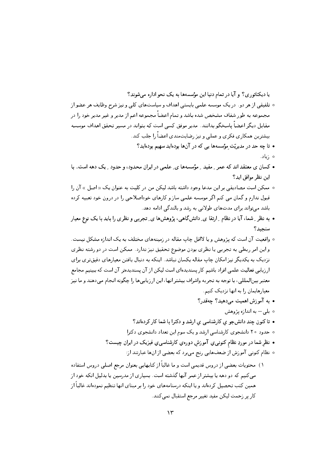یا دیکتاتوری؟ و آیا در تمام دنیا این مؤسسهها به یک نحو اداره می شوند؟

- ۰ تلفیقی از هر دو. در یک موسسه علمی بایستی اهداف و سیاستهای کلی و نیز شرح وظایف هر عضو از مجموعه به طور شفاف مشخص شده باشد و تمام اعضاً مجموعه اعم از مدیر و غیر مدیر خود را در مقابل دیگر اعضاً یاسخگو بدانند. مدیر موفق کسی است که بتواند در مسیر تحقق اهداف موسسه بیشترین همکاری فکری و عملی و نیز رضایتمندی اعضاً را جلب کند.
	- تا چه حد در مدیریّت مؤسسهها یی که در آنها بودهاید سهیم بودهاید؟
		- ە ;ياد.
- کسان ی معتقد اند که عمر ِ مفید ِ مؤسسهها ی ِ علمی در ایران محدود، و حدود ِ یک دهه است. با این نظر موافق اید؟
- ۰ ممکن است مصادیقی بر این مدعا وجود داشته باشد لیکن من در کلیت به عنوان یک « اصل » آن را قبول ندارم و گمان می کنم اگر موسسه علمی ساز و کارهای خوداصلاحی را در درون خود تعبیه کرده باشد میتواند برای مدتهای طولانی به رشد و بالندگی ادامه دهد.
- به نظر ِ شما، آیا در نظام ِ ارتقا ی ِ دانشگاهی، پژوهشها ی ِ تجربی و نظری را باید با یک نوع معیار سنحىد؟
- واقعیت آن است که پژوهش و یا لااقل چاپ مقاله در زمینههای مختلف به یک اندازه مشکل نیست. و این امر ربطی به تجربی یا نظری بودن موضوع تحقیق نیز ندارد. ممکن است در دو رشته نظری نزدیک به یکدیگر نیز امکان چاپ مقاله یکسان نباشد. اینکه به دنبال یافتن معیارهای دقیقتری برای ارزیابی فعالیت علمی افراد باشیم کار پسندیدهای است لیکن از آن پسندیدهتر آن است که ببینیم مجامع معتبر بينالمللي، با توجه به تجربه واشراف بيشتر انها، اين ارزيابيها را چگونه انجام ميدهند و ما نيز معیارهایمان را به انها نزدیک کنیم.
	- به آموزش اهمیت می دهید؟ چهقدر؟
		- ه بلبي— به اندازه پژوهش
	- تاکنون چند دانش جو ی کارشناسی ی ارشد و دکترا با شما کار کردهاند؟
	- ۰ حدود ۲۰ دانشجوی کارشناسی ارشد و یک سوم این تعداد دانشجوی دکترا
	- نظر شما در موردِ نظام کنون<sub>دی</sub>یِ آموزش دورهیِ کارشناسی *یِ فیزیک در ایران چیست؟* 
		- ه نظام کنونی آموزش از ضعفهایی رنج میبرد که بعضی از انها عبارتند از:
- ١) محتويات بعضي از دروس قديمي است و ما غالباً از كتابهايي بعنوان مرجع اصلي دروس استفاده <sub>می</sub>کنیم که دو دهه یا بیشتر از عمر آنها گذشته است. بسیاری از مدرسین یا بدلیل انکه خود از همین کتب تحصیل کردهاند و یا اینکه درسنامههای خود را بر مبنای انها تنظیم نمودهاند غالباً از كار پر زحمت ليكن مفيد تغيير مرجع استقبال نمي كنند.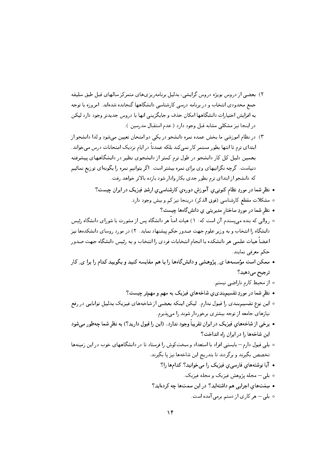- ۲) بعضبی از دروس بویژه دروس گرایشی، بدلیل برنامهریزیهای متمرکز سالهای قبل طبق سلیقه جمع محدودی انتخاب و در برنامه درسی کارشناسی دانشگاهها گنجانده شدهاند. امروزه با توجه به افزایش اختیارات دانشگاهها امکان حذف و جایگزینی انها با دروس جدیدتر وجود دارد لیکن در اینجا نیز مشکلی مشابه قبل وجود دارد ( عدم استقبال مدرسین ).
- ۳) در نظام اموزشی ما بخش عمده نمره دانشجو در یکی دو امتحان تعیین می شود و لذا دانشجو از ابتدای ترم تا انتها بطور مستمر کار نمی کند بلکه عمدتاً در ایام نزدیک امتحانات درس میخواند. بهمین دلیل کل کار دانشجو در طول ترم کمتر از دانشجوی نظیر در دانشگاههای پیشرفته دنیاست. گرچه نگرانیهای وی برای نمره بیشتر است. اگر بتوانیم نمره را بگونهای توزیع نمائیم که دانشجو از ابتدای ترم بطور جدی بکار وادار شود بازده بالاتر خواهد رفت.
	- نظر شما در موردِ نظام کنونبی یِ آموزش دورهیِ کارشناسبی یِ ارشدِ فیزیک در ایران چیست؟
		- مشكلات مقطع كارشناسي (فوق الذكر) درينجا نيز كم و بيش وجود دارد.
			- نظر شما در موردِ ساختار مدیریتی یِ دانشگاهها چیست؟
- روالی که بنده می پسندم آن است که: ١) هیات امناً هر دانشگاه پس از مشورت با شورای دانشگاه رئیس دانشگاه را انتخاب و به وزیر علوم جهت صدور حکم پیشنهاد نماید. ۲) در مورد روسای دانشکدهها نیز اعضاً هیات علمی هر دانشکده با انجام انتخابات فردی را انتخاب و به رئیس دانشگاه جهت صدور حكم معرفي نمايند.
- ممکن است مؤسسهها ی ِ پژوهشی و دانشگاهها را با هم مقایسه کنید و بگویید کدام را برا ی ِ کار ترجيح مي دهيد؟
	- ه از محیط کارم ناراضی نیستم.
	- نظر شما در موردِ تقسیم بندی ی شاخههای فیزیک به مهم و مهمتر چیست؟
- ۰ این نوع تقسیم بندی را قبول ندارم. لیکن اینکه بعضی از شاخههای فیزیک بدلیل توانایی در رفع نیازهای جامعه از توجه بیشتری برخوردار شوند را میپذیرم.
- برخی از شاخههای فیزیک در ایران تقریباً وجود ندارد. (این را قبول دارید؟) به نظر شما چهطور می شود این شاخهها را در ایران راه انداخت؟
- ۰ بلی قبول دارم— بایستبی افراد با استعداد و سختکوش را فرستاد تا در دانشگاههای خوب در این زمینهها تخصص بگیرند و برگردند تا بتدریج این شاخهها نیز پا بگیرند.
	- آیا نوشتههای فارسی ی فیزیک را می خوانید؟ کدامها را؟
		- ۰ بلمي مجله پژوهش فيزيک و مجله فيزيک.
	- سِمَتهای اجرایی هم داشتهاید؟ در این سمتها چه کردهاید؟
		- ∘ بلی– هر کاری از دستم برمی آمده است.